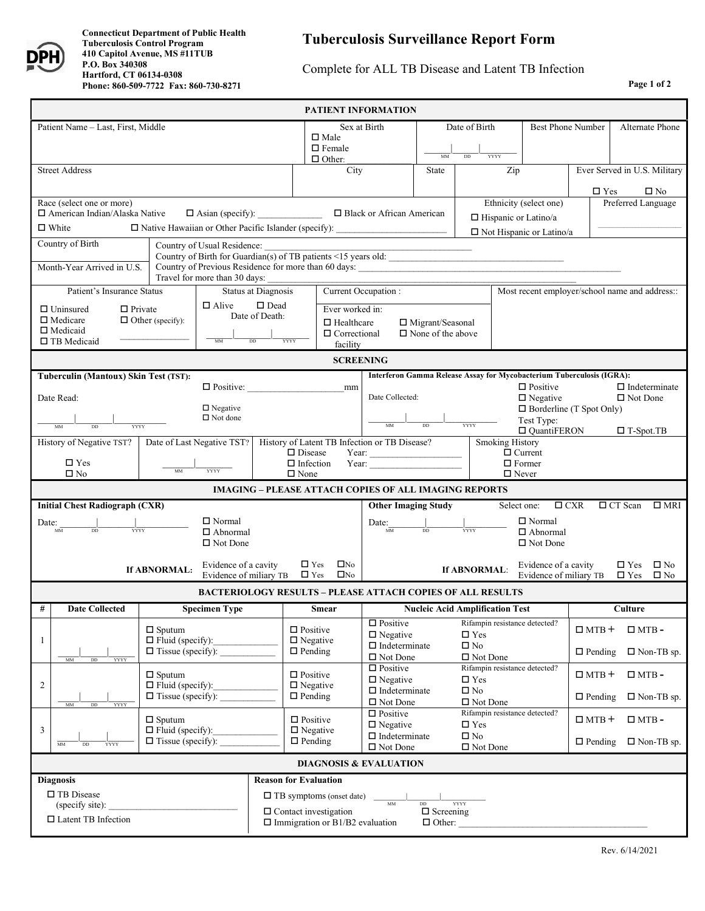

## Complete for ALL TB Disease and Latent TB Infection

**Page 1 of 2**

| <b>PATIENT INFORMATION</b>                                                                                          |                                                     |                                                |                                                                                                             |                                                                                                                                             |                                                                         |                                                                       |                                |                                                                          |                                                         |                                                                               |                                                |                          |                              |
|---------------------------------------------------------------------------------------------------------------------|-----------------------------------------------------|------------------------------------------------|-------------------------------------------------------------------------------------------------------------|---------------------------------------------------------------------------------------------------------------------------------------------|-------------------------------------------------------------------------|-----------------------------------------------------------------------|--------------------------------|--------------------------------------------------------------------------|---------------------------------------------------------|-------------------------------------------------------------------------------|------------------------------------------------|--------------------------|------------------------------|
| Patient Name - Last, First, Middle                                                                                  |                                                     |                                                |                                                                                                             |                                                                                                                                             | $\Box$ Male<br>$\Box$ Female<br>$\Box$ Other:                           | Sex at Birth                                                          | Date of Birth<br>DD            |                                                                          | <b>YYYY</b>                                             | <b>Best Phone Number</b>                                                      |                                                |                          | Alternate Phone              |
| <b>Street Address</b>                                                                                               |                                                     |                                                |                                                                                                             | City                                                                                                                                        |                                                                         | State                                                                 | Zip                            |                                                                          | Ever Served in U.S. Military                            |                                                                               |                                                |                          |                              |
|                                                                                                                     |                                                     |                                                |                                                                                                             |                                                                                                                                             |                                                                         |                                                                       |                                |                                                                          |                                                         |                                                                               | $\square$ Yes                                  |                          | $\square$ No                 |
| Race (select one or more)                                                                                           |                                                     |                                                |                                                                                                             |                                                                                                                                             |                                                                         |                                                                       | Ethnicity (select one)         |                                                                          |                                                         | Preferred Language                                                            |                                                |                          |                              |
| □ American Indian/Alaska Native<br>$\Box$ White                                                                     |                                                     |                                                |                                                                                                             | $\Box$ Asian (specify): $\Box$ Black or African American<br>□ Native Hawaiian or Other Pacific Islander (specify): ________________________ |                                                                         |                                                                       | $\Box$ Hispanic or Latino/a    |                                                                          |                                                         |                                                                               |                                                |                          |                              |
| Country of Birth<br>Country of Usual Residence:                                                                     |                                                     |                                                |                                                                                                             | □ Not Hispanic or Latino/a                                                                                                                  |                                                                         |                                                                       |                                |                                                                          |                                                         |                                                                               |                                                |                          |                              |
| Country of Birth for Guardian(s) of TB patients <15 years old:                                                      |                                                     |                                                |                                                                                                             |                                                                                                                                             |                                                                         |                                                                       |                                |                                                                          |                                                         |                                                                               |                                                |                          |                              |
| Month-Year Arrived in U.S.<br>Country of Previous Residence for more than 60 days:<br>Travel for more than 30 days: |                                                     |                                                |                                                                                                             |                                                                                                                                             |                                                                         |                                                                       |                                |                                                                          |                                                         |                                                                               |                                                |                          |                              |
| Patient's Insurance Status<br>Status at Diagnosis                                                                   |                                                     |                                                |                                                                                                             | Current Occupation:                                                                                                                         |                                                                         |                                                                       |                                |                                                                          |                                                         |                                                                               | Most recent employer/school name and address:: |                          |                              |
| $\Box$ Alive<br>$\Box$ Uninsured<br>$\Box$ Private                                                                  |                                                     |                                                | $\square$ Dead<br>Ever worked in:                                                                           |                                                                                                                                             |                                                                         |                                                                       |                                |                                                                          |                                                         |                                                                               |                                                |                          |                              |
| $\Box$ Medicare<br>$\Box$ Medicaid                                                                                  | $\Box$ Other (specify):                             |                                                | Date of Death:<br>$\Box$ Healthcare                                                                         |                                                                                                                                             |                                                                         | □ Migrant/Seasonal                                                    |                                |                                                                          |                                                         |                                                                               |                                                |                          |                              |
| $\square$ TB Medicaid                                                                                               |                                                     | $_{MM}$                                        | DD<br>YYYY                                                                                                  |                                                                                                                                             | $\Box$ Correctional<br>facility                                         |                                                                       | $\Box$ None of the above       |                                                                          |                                                         |                                                                               |                                                |                          |                              |
| <b>SCREENING</b>                                                                                                    |                                                     |                                                |                                                                                                             |                                                                                                                                             |                                                                         |                                                                       |                                |                                                                          |                                                         |                                                                               |                                                |                          |                              |
| Tuberculin (Mantoux) Skin Test (TST):                                                                               |                                                     |                                                |                                                                                                             |                                                                                                                                             |                                                                         | Interferon Gamma Release Assay for Mycobacterium Tuberculosis (IGRA): |                                |                                                                          |                                                         |                                                                               |                                                |                          |                              |
| Date Read:                                                                                                          |                                                     | $\Box$ Positive:                               |                                                                                                             |                                                                                                                                             | mm                                                                      | Date Collected:                                                       |                                |                                                                          |                                                         | $\Box$ Indeterminate<br>$\Box$ Positive<br>$\Box$ Negative<br>$\Box$ Not Done |                                                |                          |                              |
| $\Box$ Negative<br>$\Box$ Not done                                                                                  |                                                     |                                                |                                                                                                             |                                                                                                                                             |                                                                         |                                                                       |                                | $\Box$ Borderline (T Spot Only)                                          |                                                         |                                                                               |                                                |                          |                              |
| YYYY                                                                                                                |                                                     |                                                |                                                                                                             |                                                                                                                                             |                                                                         |                                                                       |                                | <b>YYYY</b>                                                              | Test Type:<br>$\Box$ QuantiFERON<br>$\square$ T-Spot.TB |                                                                               |                                                |                          |                              |
| Date of Last Negative TST?   History of Latent TB Infection or TB Disease?<br>History of Negative TST?              |                                                     |                                                |                                                                                                             | <b>Smoking History</b><br>$\hfill\Box$<br><br>Disease                                                                                       |                                                                         |                                                                       |                                |                                                                          |                                                         | $\overline{\Box}$ Current                                                     |                                                |                          |                              |
| $\square$ Yes                                                                                                       |                                                     |                                                |                                                                                                             | $\Box$ Infection<br>Year: $\qquad \qquad$                                                                                                   |                                                                         |                                                                       |                                | $\Box$ Former                                                            |                                                         |                                                                               |                                                |                          |                              |
| YYYY<br><b>MM</b><br>$\square$ No                                                                                   |                                                     |                                                |                                                                                                             | $\square$ None<br>$\Box$ Never<br><b>IMAGING - PLEASE ATTACH COPIES OF ALL IMAGING REPORTS</b>                                              |                                                                         |                                                                       |                                |                                                                          |                                                         |                                                                               |                                                |                          |                              |
|                                                                                                                     |                                                     |                                                |                                                                                                             |                                                                                                                                             |                                                                         |                                                                       |                                |                                                                          |                                                         |                                                                               |                                                |                          |                              |
| <b>Initial Chest Radiograph (CXR)</b><br>$\Box$ Normal                                                              |                                                     |                                                |                                                                                                             | <b>Other Imaging Study</b>                                                                                                                  |                                                                         |                                                                       |                                | $\Box$ CXR<br>□ CT Scan<br>Select one:<br>$\square$ MRI<br>$\Box$ Normal |                                                         |                                                                               |                                                |                          |                              |
| Date:<br>$\frac{1}{\text{mm}}$<br>YYYY<br>$\Box$ Abnormal                                                           |                                                     |                                                |                                                                                                             | $Date:$ $\frac{1}{MN}$ $\frac{1}{DD}$                                                                                                       |                                                                         |                                                                       | <b>YYYY</b><br>$\Box$ Abnormal |                                                                          |                                                         |                                                                               |                                                |                          |                              |
| $\Box$ Not Done<br>$\Box$ Not Done                                                                                  |                                                     |                                                |                                                                                                             |                                                                                                                                             |                                                                         |                                                                       |                                |                                                                          |                                                         |                                                                               |                                                |                          |                              |
|                                                                                                                     | If ABNORMAL:                                        | Evidence of a cavity<br>Evidence of miliary TB |                                                                                                             | $\Box$ Yes<br>$\Box$ Yes                                                                                                                    | $\square$ No<br>$\square$ No                                            |                                                                       |                                | If ABNORMAL:                                                             |                                                         | Evidence of a cavity<br>Evidence of miliary TB                                |                                                | $\Box$ Yes<br>$\Box$ Yes | $\square$ No<br>$\square$ No |
|                                                                                                                     |                                                     |                                                |                                                                                                             |                                                                                                                                             |                                                                         | <b>BACTERIOLOGY RESULTS - PLEASE ATTACH COPIES OF ALL RESULTS</b>     |                                |                                                                          |                                                         |                                                                               |                                                |                          |                              |
| #<br><b>Date Collected</b>                                                                                          |                                                     | <b>Specimen Type</b>                           |                                                                                                             |                                                                                                                                             | <b>Smear</b>                                                            | <b>Nucleic Acid Amplification Test</b>                                |                                |                                                                          |                                                         |                                                                               | <b>Culture</b>                                 |                          |                              |
|                                                                                                                     | $\Box$ Sputum                                       |                                                |                                                                                                             | $\Box$ Positive                                                                                                                             |                                                                         | $\square$ Positive<br>$\Box$ Negative                                 |                                | $\square$ Yes                                                            | Rifampin resistance detected?                           |                                                                               | $\Box$ MTB +                                   |                          | $\Box$ MTB -                 |
| $\mathbf{1}$                                                                                                        | $\Box$ Fluid (specify):<br>$\Box$ Tissue (specify): |                                                |                                                                                                             | $\Box$ Negative<br>$\Box$ Pending                                                                                                           |                                                                         | $\Box$ Indeterminate                                                  |                                | $\square$ No                                                             |                                                         |                                                                               | $\Box$ Pending                                 |                          | $\Box$ Non-TB sp.            |
| MM<br><b>YYYY</b><br>DD                                                                                             |                                                     |                                                |                                                                                                             |                                                                                                                                             |                                                                         | $\Box$ Not Done<br>$\Box$ Positive                                    |                                | $\Box$ Not Done                                                          | Rifampin resistance detected?                           |                                                                               |                                                |                          |                              |
| $\overline{2}$                                                                                                      | $\Box$ Sputum<br>$\Box$ Fluid (specify):            |                                                |                                                                                                             | $\Box$ Positive<br>$\Box$ Negative                                                                                                          |                                                                         | $\Box$ Negative                                                       |                                | $\square$ Yes                                                            |                                                         |                                                                               | $\Box$ MTB +                                   |                          | $\Box$ MTB -                 |
| $\Box$ Tissue (specify):<br>MM<br>DD<br><b>YYYY</b>                                                                 |                                                     | $\Box$ Pending                                 |                                                                                                             |                                                                                                                                             | $\Box$ Indeterminate<br>$\Box$ No<br>$\Box$ Not Done<br>$\Box$ Not Done |                                                                       |                                | $\Box$ Pending                                                           |                                                         |                                                                               | $\Box$ Non-TB sp.                              |                          |                              |
|                                                                                                                     | $\Box$ Sputum                                       |                                                |                                                                                                             | $\Box$ Positive                                                                                                                             |                                                                         | $\Box$ Positive                                                       |                                |                                                                          | Rifampin resistance detected?                           |                                                                               | $\Box$ MTB +                                   |                          | $\Box$ MTB -                 |
| 3                                                                                                                   | $\Box$ Fluid (specify):                             |                                                |                                                                                                             | $\Box$ Negative                                                                                                                             |                                                                         | $\Box$ Negative<br>$\Box$ Indeterminate                               |                                | $\square$ Yes<br>$\square$ No                                            |                                                         |                                                                               |                                                |                          |                              |
| $\Box$ Tissue (specify): $\_\_$<br>$_{MM}$<br>$_{\rm DD}$<br>YYYY                                                   |                                                     | $\Box$ Pending                                 |                                                                                                             |                                                                                                                                             | $\Box$ Not Done                                                         | $\hfill\Box$<br>Not Done                                              |                                |                                                                          | $\Box$ Pending                                          |                                                                               |                                                | $\Box$ Non-TB sp.        |                              |
| <b>DIAGNOSIS &amp; EVALUATION</b>                                                                                   |                                                     |                                                |                                                                                                             |                                                                                                                                             |                                                                         |                                                                       |                                |                                                                          |                                                         |                                                                               |                                                |                          |                              |
| <b>Diagnosis</b>                                                                                                    |                                                     |                                                | <b>Reason for Evaluation</b>                                                                                |                                                                                                                                             |                                                                         |                                                                       |                                |                                                                          |                                                         |                                                                               |                                                |                          |                              |
| □ TB Disease<br>(specify site):                                                                                     |                                                     |                                                | $\Box$ TB symptoms (onset date)<br>$\overline{MM}$<br><b>YYYY</b><br>DD                                     |                                                                                                                                             |                                                                         |                                                                       |                                |                                                                          |                                                         |                                                                               |                                                |                          |                              |
| □ Latent TB Infection                                                                                               |                                                     |                                                | $\Box$ Screening<br>$\Box$ Contact investigation<br>$\Box$ Immigration or B1/B2 evaluation<br>$\Box$ Other: |                                                                                                                                             |                                                                         |                                                                       |                                |                                                                          |                                                         |                                                                               |                                                |                          |                              |
|                                                                                                                     |                                                     |                                                |                                                                                                             |                                                                                                                                             |                                                                         |                                                                       |                                |                                                                          |                                                         |                                                                               |                                                |                          |                              |